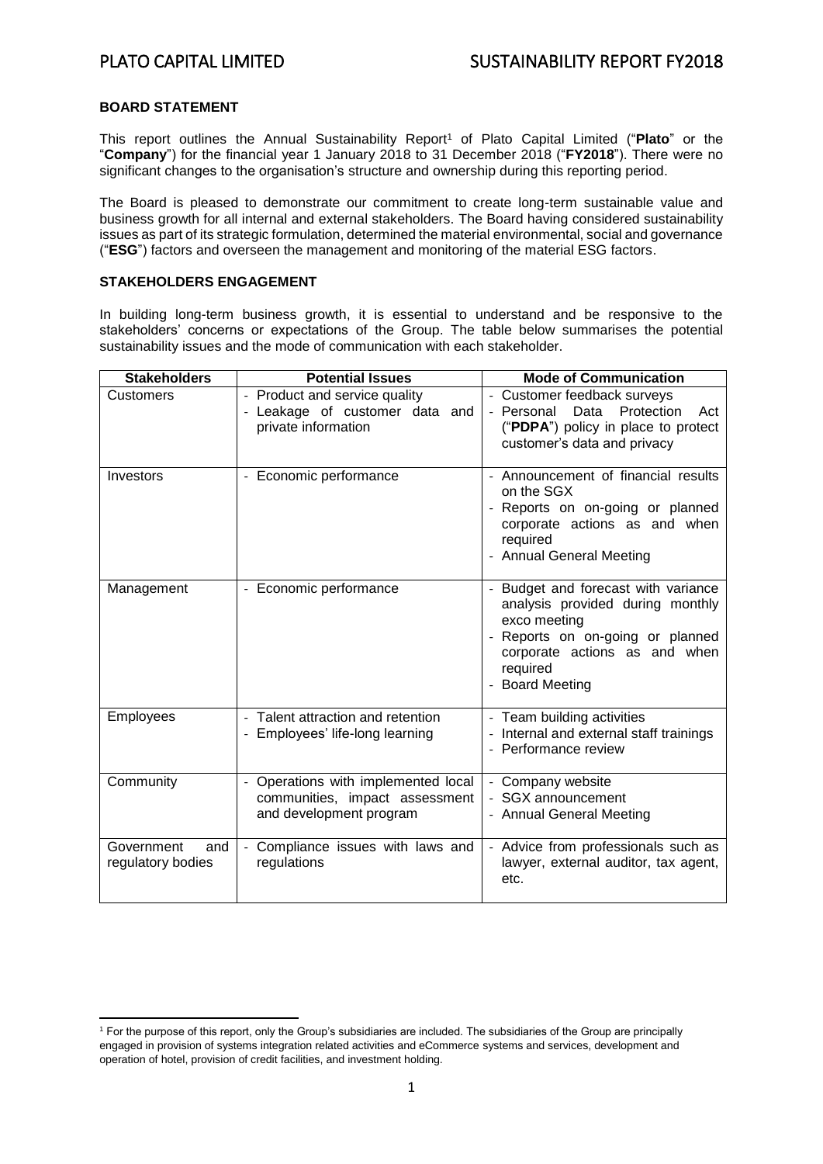### **BOARD STATEMENT**

This report outlines the Annual Sustainability Report<sup>1</sup> of Plato Capital Limited ("**Plato**" or the "**Company**") for the financial year 1 January 2018 to 31 December 2018 ("**FY2018**"). There were no significant changes to the organisation's structure and ownership during this reporting period.

The Board is pleased to demonstrate our commitment to create long-term sustainable value and business growth for all internal and external stakeholders. The Board having considered sustainability issues as part of its strategic formulation, determined the material environmental, social and governance ("**ESG**") factors and overseen the management and monitoring of the material ESG factors.

### **STAKEHOLDERS ENGAGEMENT**

In building long-term business growth, it is essential to understand and be responsive to the stakeholders' concerns or expectations of the Group. The table below summarises the potential sustainability issues and the mode of communication with each stakeholder.

| <b>Stakeholders</b>                    | <b>Potential Issues</b>                                                                                         | <b>Mode of Communication</b>                                                                                                                                                                 |  |
|----------------------------------------|-----------------------------------------------------------------------------------------------------------------|----------------------------------------------------------------------------------------------------------------------------------------------------------------------------------------------|--|
| Customers                              | - Product and service quality<br>- Leakage of customer data and<br>private information                          | - Customer feedback surveys<br>Protection<br>- Personal<br>Data<br>Act<br>("PDPA") policy in place to protect<br>customer's data and privacy                                                 |  |
| Investors                              | - Economic performance                                                                                          | - Announcement of financial results<br>on the SGX<br>Reports on on-going or planned<br>corporate actions as and when<br>required<br>- Annual General Meeting                                 |  |
| Management                             | - Economic performance                                                                                          | Budget and forecast with variance<br>analysis provided during monthly<br>exco meeting<br>Reports on on-going or planned<br>corporate actions as and when<br>required<br><b>Board Meeting</b> |  |
| Employees                              | - Talent attraction and retention<br>Employees' life-long learning                                              | - Team building activities<br>Internal and external staff trainings<br>- Performance review                                                                                                  |  |
| Community                              | Operations with implemented local<br>$\frac{1}{2}$<br>communities, impact assessment<br>and development program | Company website<br>SGX announcement<br>- Annual General Meeting                                                                                                                              |  |
| Government<br>and<br>regulatory bodies | Compliance issues with laws and<br>regulations                                                                  | - Advice from professionals such as<br>lawyer, external auditor, tax agent,<br>etc.                                                                                                          |  |

 $\overline{a}$ <sup>1</sup> For the purpose of this report, only the Group's subsidiaries are included. The subsidiaries of the Group are principally engaged in provision of systems integration related activities and eCommerce systems and services, development and operation of hotel, provision of credit facilities, and investment holding.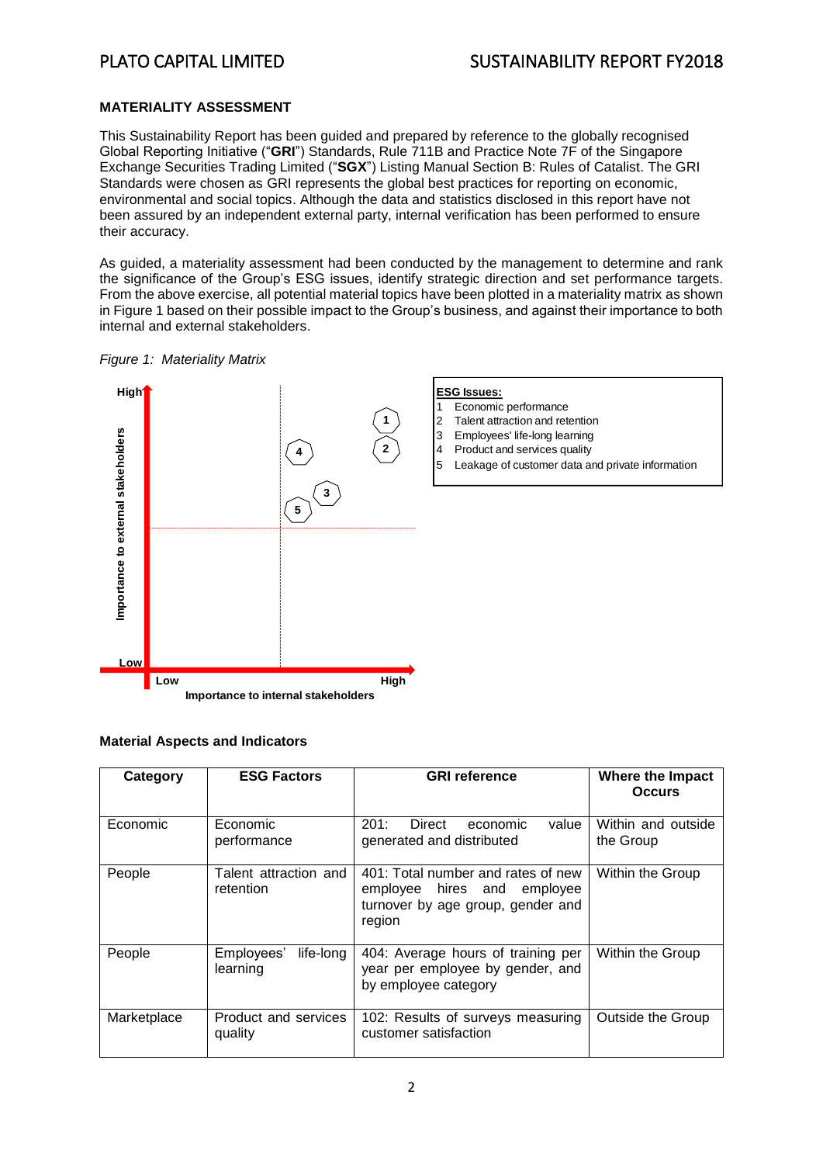## **MATERIALITY ASSESSMENT**

This Sustainability Report has been guided and prepared by reference to the globally recognised Global Reporting Initiative ("**GRI**") Standards, Rule 711B and Practice Note 7F of the Singapore Exchange Securities Trading Limited ("**SGX**") Listing Manual Section B: Rules of Catalist. The GRI Standards were chosen as GRI represents the global best practices for reporting on economic, environmental and social topics. Although the data and statistics disclosed in this report have not been assured by an independent external party, internal verification has been performed to ensure their accuracy.

As guided, a materiality assessment had been conducted by the management to determine and rank the significance of the Group's ESG issues, identify strategic direction and set performance targets. From the above exercise, all potential material topics have been plotted in a materiality matrix as shown in Figure 1 based on their possible impact to the Group's business, and against their importance to both internal and external stakeholders.





### **Material Aspects and Indicators**

| Category    | <b>ESG Factors</b>                  | <b>GRI</b> reference                                                                                             | Where the Impact<br><b>Occurs</b> |
|-------------|-------------------------------------|------------------------------------------------------------------------------------------------------------------|-----------------------------------|
| Economic    | Economic<br>performance             | 201:<br>value<br>Direct<br>economic<br>generated and distributed                                                 | Within and outside<br>the Group   |
| People      | Talent attraction and<br>retention  | 401: Total number and rates of new<br>employee hires and employee<br>turnover by age group, gender and<br>region | Within the Group                  |
| People      | life-long<br>Employees'<br>learning | 404: Average hours of training per<br>year per employee by gender, and<br>by employee category                   | Within the Group                  |
| Marketplace | Product and services<br>quality     | 102: Results of surveys measuring<br>customer satisfaction                                                       | Outside the Group                 |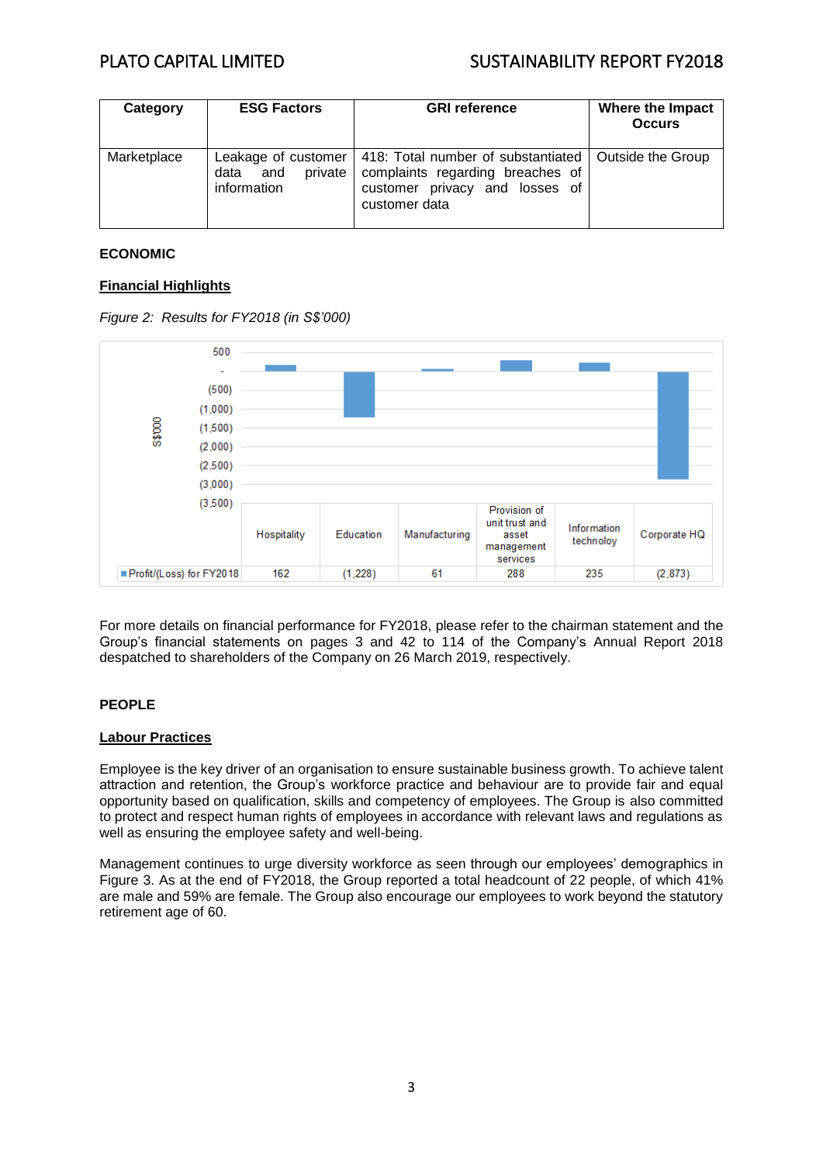# PLATO CAPITAL LIMITED SUSTAINABILITY REPORT FY2018

| Category    | <b>ESG Factors</b>                 | <b>GRI</b> reference                                                                                                                                                | Where the Impact<br><b>Occurs</b> |
|-------------|------------------------------------|---------------------------------------------------------------------------------------------------------------------------------------------------------------------|-----------------------------------|
| Marketplace | private<br>data and<br>information | Leakage of customer   418: Total number of substantiated   Outside the Group<br>complaints regarding breaches of<br>customer privacy and losses of<br>customer data |                                   |

## **ECONOMIC**

### **Financial Highlights**





For more details on financial performance for FY2018, please refer to the chairman statement and the Group's financial statements on pages 3 and 42 to 114 of the Company's Annual Report 2018 despatched to shareholders of the Company on 26 March 2019, respectively.

# **PEOPLE**

### **Labour Practices**

Employee is the key driver of an organisation to ensure sustainable business growth. To achieve talent attraction and retention, the Group's workforce practice and behaviour are to provide fair and equal opportunity based on qualification, skills and competency of employees. The Group is also committed to protect and respect human rights of employees in accordance with relevant laws and regulations as well as ensuring the employee safety and well-being.

Management continues to urge diversity workforce as seen through our employees' demographics in Figure 3. As at the end of FY2018, the Group reported a total headcount of 22 people, of which 41% are male and 59% are female. The Group also encourage our employees to work beyond the statutory retirement age of 60.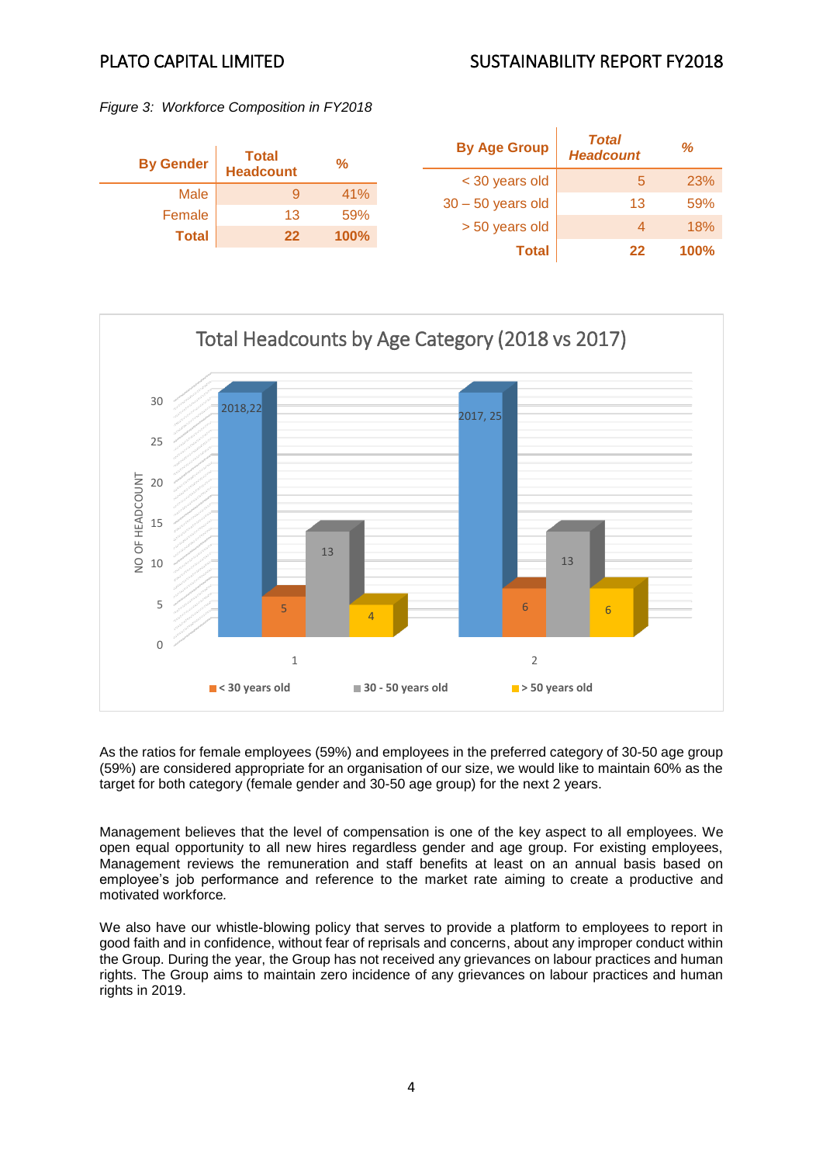# PLATO CAPITAL LIMITED SUSTAINABILITY REPORT FY2018

*Figure 3: Workforce Composition in FY2018*





As the ratios for female employees (59%) and employees in the preferred category of 30-50 age group (59%) are considered appropriate for an organisation of our size, we would like to maintain 60% as the target for both category (female gender and 30-50 age group) for the next 2 years.

Management believes that the level of compensation is one of the key aspect to all employees. We open equal opportunity to all new hires regardless gender and age group. For existing employees, Management reviews the remuneration and staff benefits at least on an annual basis based on employee's job performance and reference to the market rate aiming to create a productive and motivated workforce*.* 

We also have our whistle-blowing policy that serves to provide a platform to employees to report in good faith and in confidence, without fear of reprisals and concerns, about any improper conduct within the Group. During the year, the Group has not received any grievances on labour practices and human rights. The Group aims to maintain zero incidence of any grievances on labour practices and human rights in 2019.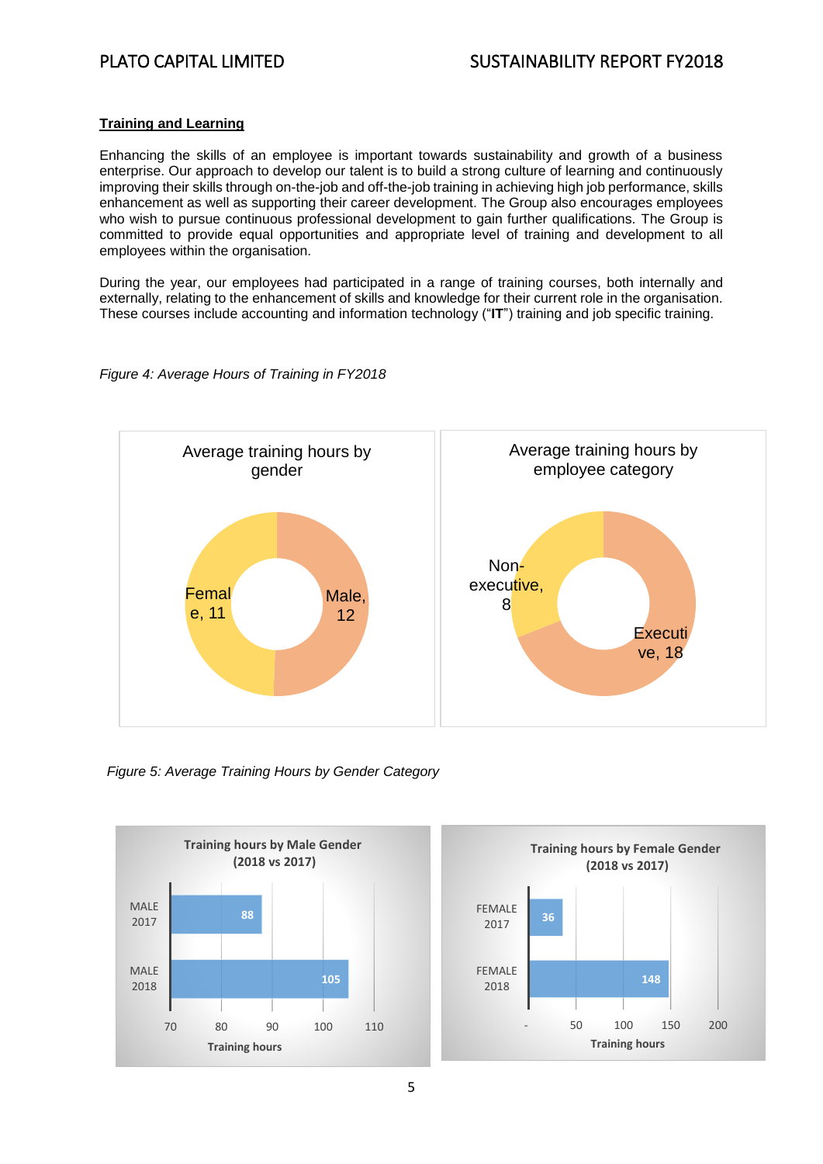## **Training and Learning**

Enhancing the skills of an employee is important towards sustainability and growth of a business enterprise. Our approach to develop our talent is to build a strong culture of learning and continuously improving their skills through on-the-job and off-the-job training in achieving high job performance, skills enhancement as well as supporting their career development. The Group also encourages employees who wish to pursue continuous professional development to gain further qualifications. The Group is committed to provide equal opportunities and appropriate level of training and development to all employees within the organisation.

During the year, our employees had participated in a range of training courses, both internally and externally, relating to the enhancement of skills and knowledge for their current role in the organisation. These courses include accounting and information technology ("**IT**") training and job specific training.



*Figure 4: Average Hours of Training in FY2018*

*Figure 5: Average Training Hours by Gender Category*



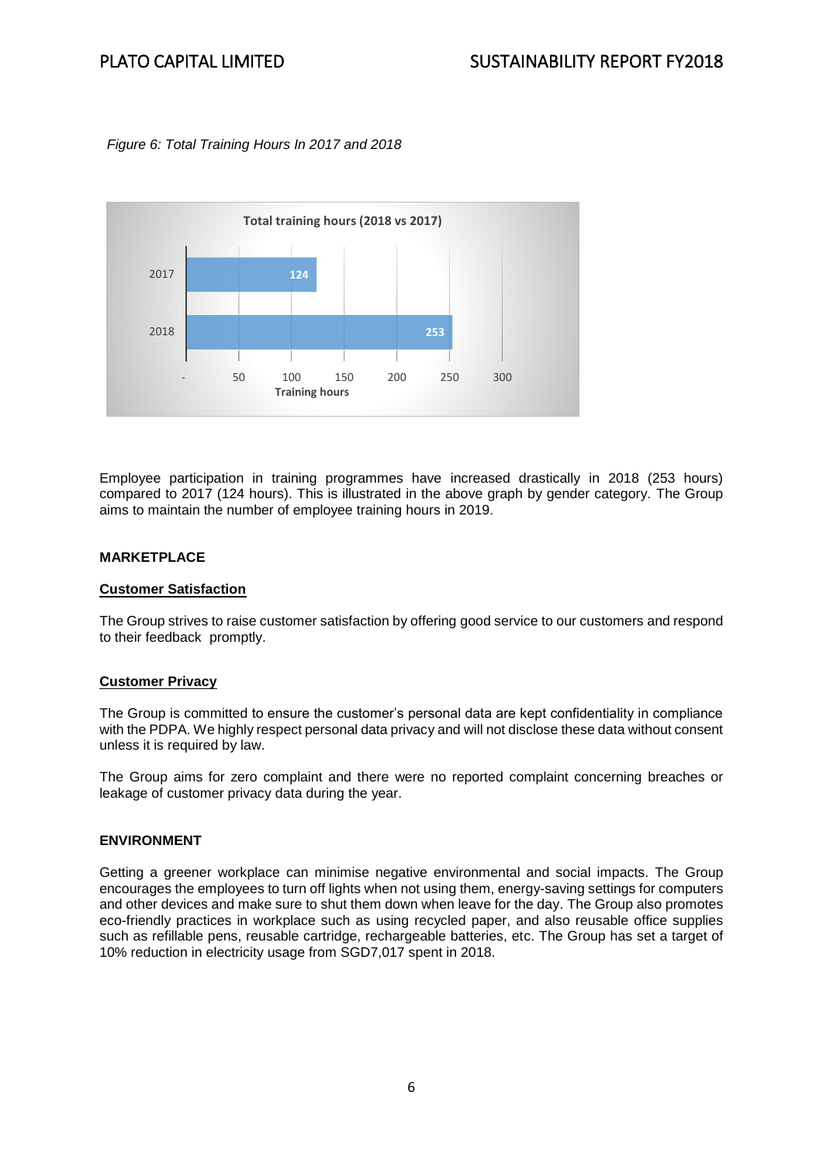## *Figure 6: Total Training Hours In 2017 and 2018*



Employee participation in training programmes have increased drastically in 2018 (253 hours) compared to 2017 (124 hours). This is illustrated in the above graph by gender category. The Group aims to maintain the number of employee training hours in 2019.

### **MARKETPLACE**

### **Customer Satisfaction**

The Group strives to raise customer satisfaction by offering good service to our customers and respond to their feedback promptly.

### **Customer Privacy**

The Group is committed to ensure the customer's personal data are kept confidentiality in compliance with the PDPA. We highly respect personal data privacy and will not disclose these data without consent unless it is required by law.

The Group aims for zero complaint and there were no reported complaint concerning breaches or leakage of customer privacy data during the year.

### **ENVIRONMENT**

Getting a greener workplace can minimise negative environmental and social impacts. The Group encourages the employees to turn off lights when not using them, energy-saving settings for computers and other devices and make sure to shut them down when leave for the day. The Group also promotes eco-friendly practices in workplace such as using recycled paper, and also reusable office supplies such as refillable pens, reusable cartridge, rechargeable batteries, etc. The Group has set a target of 10% reduction in electricity usage from SGD7,017 spent in 2018.